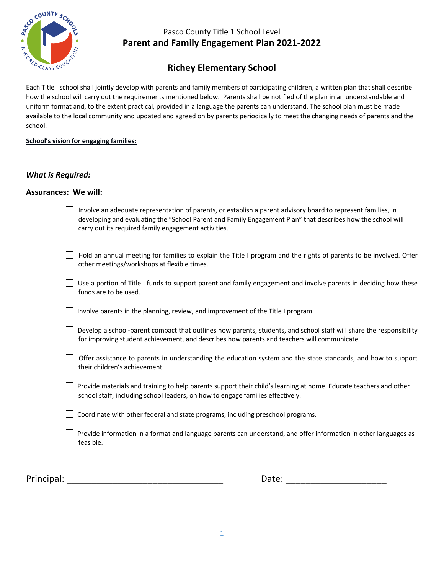

## **Richey Elementary School**

Each Title I school shall jointly develop with parents and family members of participating children, a written plan that shall describe how the school will carry out the requirements mentioned below. Parents shall be notified of the plan in an understandable and uniform format and, to the extent practical, provided in a language the parents can understand. The school plan must be made available to the local community and updated and agreed on by parents periodically to meet the changing needs of parents and the school.

#### **School's vision for engaging families:**

#### *What is Required:*

#### **Assurances: We will:**

| Involve an adequate representation of parents, or establish a parent advisory board to represent families, in |
|---------------------------------------------------------------------------------------------------------------|
| developing and evaluating the "School Parent and Family Engagement Plan" that describes how the school will   |
| carry out its required family engagement activities.                                                          |

| $\Box$ Hold an annual meeting for families to explain the Title I program and the rights of parents to be involved. Offer |
|---------------------------------------------------------------------------------------------------------------------------|
| other meetings/workshops at flexible times.                                                                               |

| $\Box$ Use a portion of Title I funds to support parent and family engagement and involve parents in deciding how these |
|-------------------------------------------------------------------------------------------------------------------------|
| funds are to be used.                                                                                                   |

 $\Box$  Involve parents in the planning, review, and improvement of the Title I program.

| Develop a school-parent compact that outlines how parents, students, and school staff will share the responsibility |
|---------------------------------------------------------------------------------------------------------------------|
| for improving student achievement, and describes how parents and teachers will communicate.                         |

- Offer assistance to parents in understanding the education system and the state standards, and how to support their children's achievement.
- $\Box$  Provide materials and training to help parents support their child's learning at home. Educate teachers and other school staff, including school leaders, on how to engage families effectively.

Coordinate with other federal and state programs, including preschool programs.

Provide information in a format and language parents can understand, and offer information in other languages as feasible.

Principal: \_\_\_\_\_\_\_\_\_\_\_\_\_\_\_\_\_\_\_\_\_\_\_\_\_\_\_\_\_\_\_ Date: \_\_\_\_\_\_\_\_\_\_\_\_\_\_\_\_\_\_\_\_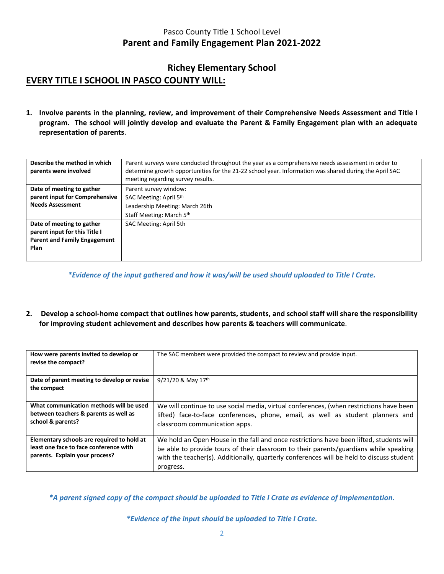## **Richey Elementary School EVERY TITLE I SCHOOL IN PASCO COUNTY WILL:**

**1. Involve parents in the planning, review, and improvement of their Comprehensive Needs Assessment and Title I program. The school will jointly develop and evaluate the Parent & Family Engagement plan with an adequate representation of parents**.

| Describe the method in which        | Parent surveys were conducted throughout the year as a comprehensive needs assessment in order to     |  |  |  |  |
|-------------------------------------|-------------------------------------------------------------------------------------------------------|--|--|--|--|
| parents were involved               | determine growth opportunities for the 21-22 school year. Information was shared during the April SAC |  |  |  |  |
|                                     | meeting regarding survey results.                                                                     |  |  |  |  |
| Date of meeting to gather           | Parent survey window:                                                                                 |  |  |  |  |
| parent input for Comprehensive      | SAC Meeting: April 5th                                                                                |  |  |  |  |
| <b>Needs Assessment</b>             | Leadership Meeting: March 26th                                                                        |  |  |  |  |
|                                     | Staff Meeting: March 5th                                                                              |  |  |  |  |
| Date of meeting to gather           | SAC Meeting: April 5th                                                                                |  |  |  |  |
| parent input for this Title I       |                                                                                                       |  |  |  |  |
| <b>Parent and Family Engagement</b> |                                                                                                       |  |  |  |  |
| <b>Plan</b>                         |                                                                                                       |  |  |  |  |
|                                     |                                                                                                       |  |  |  |  |

*\*Evidence of the input gathered and how it was/will be used should uploaded to Title I Crate.*

**2. Develop a school-home compact that outlines how parents, students, and school staff will share the responsibility for improving student achievement and describes how parents & teachers will communicate**.

| How were parents invited to develop or<br>revise the compact?                                                          | The SAC members were provided the compact to review and provide input.                                                                                                                                                                                                                    |
|------------------------------------------------------------------------------------------------------------------------|-------------------------------------------------------------------------------------------------------------------------------------------------------------------------------------------------------------------------------------------------------------------------------------------|
| Date of parent meeting to develop or revise<br>the compact                                                             | $9/21/20$ & May 17 <sup>th</sup>                                                                                                                                                                                                                                                          |
| What communication methods will be used<br>between teachers & parents as well as<br>school & parents?                  | We will continue to use social media, virtual conferences, (when restrictions have been<br>lifted) face-to-face conferences, phone, email, as well as student planners and<br>classroom communication apps.                                                                               |
| Elementary schools are required to hold at<br>least one face to face conference with<br>parents. Explain your process? | We hold an Open House in the fall and once restrictions have been lifted, students will<br>be able to provide tours of their classroom to their parents/guardians while speaking<br>with the teacher(s). Additionally, quarterly conferences will be held to discuss student<br>progress. |

*\*A parent signed copy of the compact should be uploaded to Title I Crate as evidence of implementation.*

*\*Evidence of the input should be uploaded to Title I Crate.*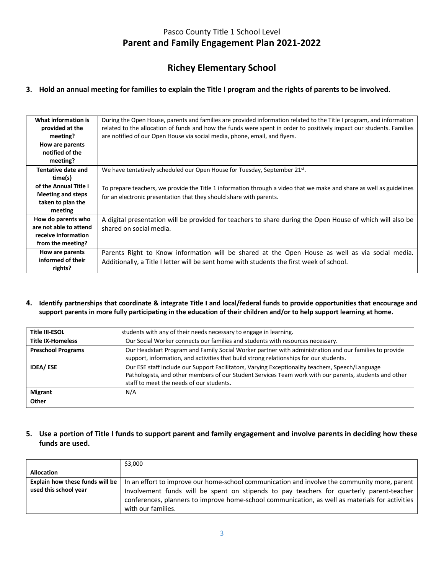## **Richey Elementary School**

#### **3. Hold an annual meeting for families to explain the Title I program and the rights of parents to be involved.**

| What information is<br>provided at the<br>meeting? | During the Open House, parents and families are provided information related to the Title I program, and information<br>related to the allocation of funds and how the funds were spent in order to positively impact our students. Families<br>are notified of our Open House via social media, phone, email, and flyers. |
|----------------------------------------------------|----------------------------------------------------------------------------------------------------------------------------------------------------------------------------------------------------------------------------------------------------------------------------------------------------------------------------|
| How are parents                                    |                                                                                                                                                                                                                                                                                                                            |
| notified of the                                    |                                                                                                                                                                                                                                                                                                                            |
| meeting?                                           |                                                                                                                                                                                                                                                                                                                            |
| Tentative date and                                 | We have tentatively scheduled our Open House for Tuesday, September 21st.                                                                                                                                                                                                                                                  |
| time(s)                                            |                                                                                                                                                                                                                                                                                                                            |
| of the Annual Title I                              | To prepare teachers, we provide the Title 1 information through a video that we make and share as well as guidelines                                                                                                                                                                                                       |
| <b>Meeting and steps</b>                           | for an electronic presentation that they should share with parents.                                                                                                                                                                                                                                                        |
| taken to plan the                                  |                                                                                                                                                                                                                                                                                                                            |
| meeting                                            |                                                                                                                                                                                                                                                                                                                            |
| How do parents who                                 | A digital presentation will be provided for teachers to share during the Open House of which will also be                                                                                                                                                                                                                  |
| are not able to attend                             | shared on social media.                                                                                                                                                                                                                                                                                                    |
| receive information                                |                                                                                                                                                                                                                                                                                                                            |
| from the meeting?                                  |                                                                                                                                                                                                                                                                                                                            |
| How are parents                                    | Parents Right to Know information will be shared at the Open House as well as via social media.                                                                                                                                                                                                                            |
| informed of their                                  | Additionally, a Title I letter will be sent home with students the first week of school.                                                                                                                                                                                                                                   |
| rights?                                            |                                                                                                                                                                                                                                                                                                                            |

**4. Identify partnerships that coordinate & integrate Title I and local/federal funds to provide opportunities that encourage and support parents in more fully participating in the education of their children and/or to help support learning at home.**

| students with any of their needs necessary to engage in learning.                                                                                                                                                                                      |
|--------------------------------------------------------------------------------------------------------------------------------------------------------------------------------------------------------------------------------------------------------|
| Our Social Worker connects our families and students with resources necessary.                                                                                                                                                                         |
| Our Headstart Program and Family Social Worker partner with administration and our families to provide<br>support, information, and activities that build strong relationships for our students.                                                       |
| Our ESE staff include our Support Facilitators, Varying Exceptionality teachers, Speech/Language<br>Pathologists, and other members of our Student Services Team work with our parents, students and other<br>staff to meet the needs of our students. |
| N/A                                                                                                                                                                                                                                                    |
|                                                                                                                                                                                                                                                        |
|                                                                                                                                                                                                                                                        |

#### **5. Use a portion of Title I funds to support parent and family engagement and involve parents in deciding how these funds are used.**

|                                                          | \$3,000                                                                                                                                                                                                                                                                                                           |
|----------------------------------------------------------|-------------------------------------------------------------------------------------------------------------------------------------------------------------------------------------------------------------------------------------------------------------------------------------------------------------------|
| <b>Allocation</b>                                        |                                                                                                                                                                                                                                                                                                                   |
| Explain how these funds will be<br>used this school year | In an effort to improve our home-school communication and involve the community more, parent<br>Involvement funds will be spent on stipends to pay teachers for quarterly parent-teacher<br>conferences, planners to improve home-school communication, as well as materials for activities<br>with our families. |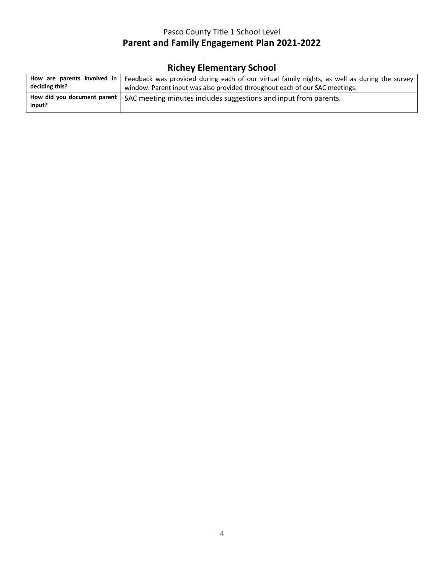# **Richey Elementary School**

| How are parents involved in             | Feedback was provided during each of our virtual family nights, as well as during the survey |
|-----------------------------------------|----------------------------------------------------------------------------------------------|
| deciding this?                          | window. Parent input was also provided throughout each of our SAC meetings.                  |
| How did you document parent  <br>input? | SAC meeting minutes includes suggestions and input from parents.                             |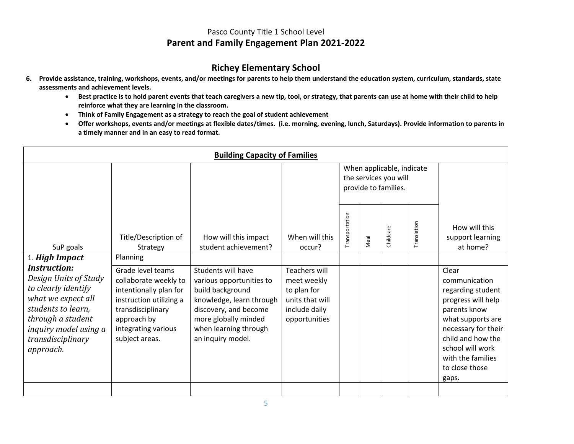### **Richey Elementary School**

- **6. Provide assistance, training, workshops, events, and/or meetings for parents to help them understand the education system, curriculum, standards, state assessments and achievement levels.**
	- **Best practice is to hold parent events that teach caregivers a new tip, tool, or strategy, that parents can use at home with their child to help reinforce what they are learning in the classroom.**
	- **Think of Family Engagement as a strategy to reach the goal of student achievement**
	- **Offer workshops, events and/or meetings at flexible dates/times. (i.e. morning, evening, lunch, Saturdays). Provide information to parents in a timely manner and in an easy to read format.**

| <b>Building Capacity of Families</b>                                                                                                                                     |                                                                                                                                                                              |                                                                                                                                                                                               |                                                                                                         |                                                                            |      |           |             |                                                                                                                                                                                                                        |
|--------------------------------------------------------------------------------------------------------------------------------------------------------------------------|------------------------------------------------------------------------------------------------------------------------------------------------------------------------------|-----------------------------------------------------------------------------------------------------------------------------------------------------------------------------------------------|---------------------------------------------------------------------------------------------------------|----------------------------------------------------------------------------|------|-----------|-------------|------------------------------------------------------------------------------------------------------------------------------------------------------------------------------------------------------------------------|
|                                                                                                                                                                          |                                                                                                                                                                              |                                                                                                                                                                                               |                                                                                                         | When applicable, indicate<br>the services you will<br>provide to families. |      |           |             |                                                                                                                                                                                                                        |
| SuP goals                                                                                                                                                                | Title/Description of<br>Strategy                                                                                                                                             | How will this impact<br>student achievement?                                                                                                                                                  | When will this<br>occur?                                                                                | Transportation                                                             | Meal | Childcare | Translation | How will this<br>support learning<br>at home?                                                                                                                                                                          |
| 1. High Impact<br><i>Instruction:</i>                                                                                                                                    | Planning                                                                                                                                                                     |                                                                                                                                                                                               |                                                                                                         |                                                                            |      |           |             |                                                                                                                                                                                                                        |
| Design Units of Study<br>to clearly identify<br>what we expect all<br>students to learn,<br>through a student<br>inquiry model using a<br>transdisciplinary<br>approach. | Grade level teams<br>collaborate weekly to<br>intentionally plan for<br>instruction utilizing a<br>transdisciplinary<br>approach by<br>integrating various<br>subject areas. | Students will have<br>various opportunities to<br>build background<br>knowledge, learn through<br>discovery, and become<br>more globally minded<br>when learning through<br>an inquiry model. | <b>Teachers will</b><br>meet weekly<br>to plan for<br>units that will<br>include daily<br>opportunities |                                                                            |      |           |             | Clear<br>communication<br>regarding student<br>progress will help<br>parents know<br>what supports are<br>necessary for their<br>child and how the<br>school will work<br>with the families<br>to close those<br>gaps. |
|                                                                                                                                                                          |                                                                                                                                                                              |                                                                                                                                                                                               |                                                                                                         |                                                                            |      |           |             |                                                                                                                                                                                                                        |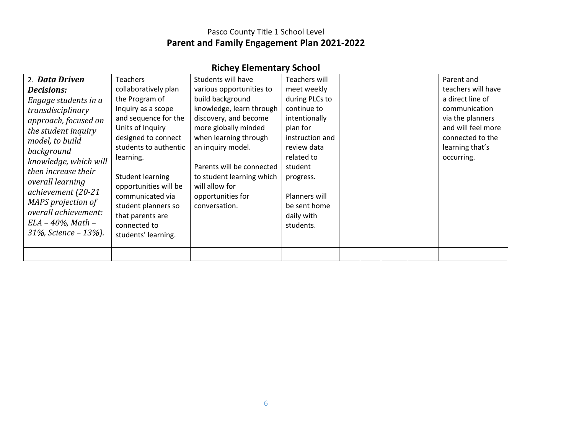# **Richey Elementary School**

| 2. Data Driven                                                                                                                                                                                                                                                                             | <b>Teachers</b>                                                                                                                                                                                                                                                                  | Students will have                                                                                                                                                                                                                                            | Teachers will                                                                                                                                                                                  |  |  | Parent and                                                                                                                       |
|--------------------------------------------------------------------------------------------------------------------------------------------------------------------------------------------------------------------------------------------------------------------------------------------|----------------------------------------------------------------------------------------------------------------------------------------------------------------------------------------------------------------------------------------------------------------------------------|---------------------------------------------------------------------------------------------------------------------------------------------------------------------------------------------------------------------------------------------------------------|------------------------------------------------------------------------------------------------------------------------------------------------------------------------------------------------|--|--|----------------------------------------------------------------------------------------------------------------------------------|
| <b>Decisions:</b>                                                                                                                                                                                                                                                                          | collaboratively plan                                                                                                                                                                                                                                                             | various opportunities to                                                                                                                                                                                                                                      | meet weekly                                                                                                                                                                                    |  |  | teachers will have                                                                                                               |
| Engage students in a<br>transdisciplinary<br>approach, focused on<br>the student inquiry<br>model, to build<br>background<br>knowledge, which will<br>then increase their<br>overall learning<br>achievement (20-21<br>MAPS projection of<br>overall achievement:<br>$ELA - 40\%$ , Math - | the Program of<br>Inquiry as a scope<br>and sequence for the<br>Units of Inquiry<br>designed to connect<br>students to authentic<br>learning.<br><b>Student learning</b><br>opportunities will be<br>communicated via<br>student planners so<br>that parents are<br>connected to | build background<br>knowledge, learn through<br>discovery, and become<br>more globally minded<br>when learning through<br>an inquiry model.<br>Parents will be connected<br>to student learning which<br>will allow for<br>opportunities for<br>conversation. | during PLCs to<br>continue to<br>intentionally<br>plan for<br>instruction and<br>review data<br>related to<br>student<br>progress.<br>Planners will<br>be sent home<br>daily with<br>students. |  |  | a direct line of<br>communication<br>via the planners<br>and will feel more<br>connected to the<br>learning that's<br>occurring. |
| $31\%$ , Science – $13\%$ ).                                                                                                                                                                                                                                                               | students' learning.                                                                                                                                                                                                                                                              |                                                                                                                                                                                                                                                               |                                                                                                                                                                                                |  |  |                                                                                                                                  |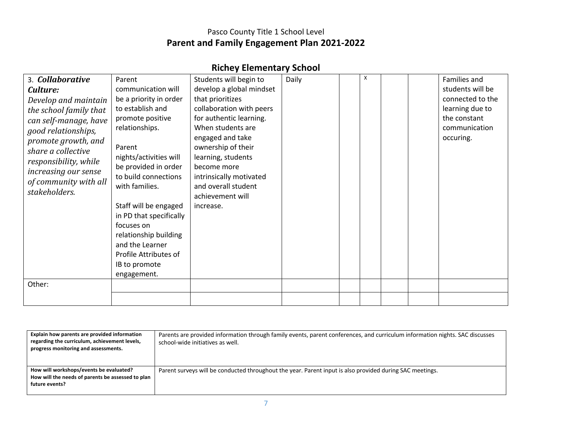|  | <b>Richey Elementary School</b> |  |
|--|---------------------------------|--|
|--|---------------------------------|--|

| 3. Collaborative                                                                                                                                                                                                                       | Parent                                                                                                                                                                                                                                                                                                                        | Students will begin to                                                                                                                                                                                                                                         | Daily | X |  | Families and                                                                      |
|----------------------------------------------------------------------------------------------------------------------------------------------------------------------------------------------------------------------------------------|-------------------------------------------------------------------------------------------------------------------------------------------------------------------------------------------------------------------------------------------------------------------------------------------------------------------------------|----------------------------------------------------------------------------------------------------------------------------------------------------------------------------------------------------------------------------------------------------------------|-------|---|--|-----------------------------------------------------------------------------------|
| Culture:                                                                                                                                                                                                                               | communication will                                                                                                                                                                                                                                                                                                            | develop a global mindset                                                                                                                                                                                                                                       |       |   |  | students will be                                                                  |
| Develop and maintain<br>the school family that<br>can self-manage, have<br>good relationships,<br>promote growth, and<br>share a collective<br>responsibility, while<br>increasing our sense<br>of community with all<br>stakeholders. | be a priority in order<br>to establish and<br>promote positive<br>relationships.<br>Parent<br>nights/activities will<br>be provided in order<br>to build connections<br>with families.<br>Staff will be engaged<br>in PD that specifically<br>focuses on<br>relationship building<br>and the Learner<br>Profile Attributes of | that prioritizes<br>collaboration with peers<br>for authentic learning.<br>When students are<br>engaged and take<br>ownership of their<br>learning, students<br>become more<br>intrinsically motivated<br>and overall student<br>achievement will<br>increase. |       |   |  | connected to the<br>learning due to<br>the constant<br>communication<br>occuring. |
|                                                                                                                                                                                                                                        | IB to promote<br>engagement.                                                                                                                                                                                                                                                                                                  |                                                                                                                                                                                                                                                                |       |   |  |                                                                                   |
| Other:                                                                                                                                                                                                                                 |                                                                                                                                                                                                                                                                                                                               |                                                                                                                                                                                                                                                                |       |   |  |                                                                                   |

| Explain how parents are provided information<br>regarding the curriculum, achievement levels,<br>progress monitoring and assessments. | Parents are provided information through family events, parent conferences, and curriculum information nights. SAC discusses<br>school-wide initiatives as well. |
|---------------------------------------------------------------------------------------------------------------------------------------|------------------------------------------------------------------------------------------------------------------------------------------------------------------|
| How will workshops/events be evaluated?<br>How will the needs of parents be assessed to plan<br>future events?                        | Parent surveys will be conducted throughout the year. Parent input is also provided during SAC meetings.                                                         |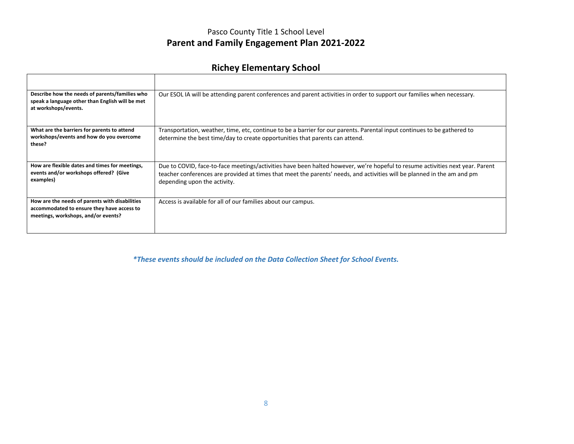# **Richey Elementary School**

| Describe how the needs of parents/families who<br>speak a language other than English will be met<br>at workshops/events.           | Our ESOL IA will be attending parent conferences and parent activities in order to support our families when necessary.                                                                                                                                                                  |
|-------------------------------------------------------------------------------------------------------------------------------------|------------------------------------------------------------------------------------------------------------------------------------------------------------------------------------------------------------------------------------------------------------------------------------------|
| What are the barriers for parents to attend<br>workshops/events and how do you overcome<br>these?                                   | Transportation, weather, time, etc, continue to be a barrier for our parents. Parental input continues to be gathered to<br>determine the best time/day to create opportunities that parents can attend.                                                                                 |
| How are flexible dates and times for meetings,<br>events and/or workshops offered? (Give<br>examples)                               | Due to COVID, face-to-face meetings/activities have been halted however, we're hopeful to resume activities next year. Parent<br>teacher conferences are provided at times that meet the parents' needs, and activities will be planned in the am and pm<br>depending upon the activity. |
| How are the needs of parents with disabilities<br>accommodated to ensure they have access to<br>meetings, workshops, and/or events? | Access is available for all of our families about our campus.                                                                                                                                                                                                                            |

*\*These events should be included on the Data Collection Sheet for School Events.*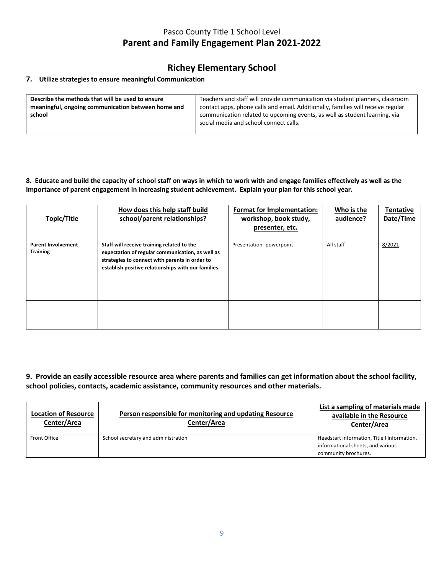### **Richey Elementary School**

#### **7. Utilize strategies to ensure meaningful Communication**

| Describe the methods that will be used to ensure   | Teachers and staff will provide communication via student planners, classroom    |
|----------------------------------------------------|----------------------------------------------------------------------------------|
| meaningful, ongoing communication between home and | contact apps, phone calls and email. Additionally, families will receive regular |
| school                                             | communication related to upcoming events, as well as student learning, via       |
|                                                    | social media and school connect calls.                                           |
|                                                    |                                                                                  |

#### **8. Educate and build the capacity of school staff on ways in which to work with and engage families effectively as well as the importance of parent engagement in increasing student achievement. Explain your plan for this school year.**

| Topic/Title                                  | How does this help staff build<br>school/parent relationships?                                                                                                                                          | Format for Implementation:<br>workshop, book study,<br>presenter, etc. | Who is the<br>audience? | <b>Tentative</b><br>Date/Time |
|----------------------------------------------|---------------------------------------------------------------------------------------------------------------------------------------------------------------------------------------------------------|------------------------------------------------------------------------|-------------------------|-------------------------------|
| <b>Parent Involvement</b><br><b>Training</b> | Staff will receive training related to the<br>expectation of regular communication, as well as<br>strategies to connect with parents in order to<br>establish positive relationships with our families. | Presentation-powerpoint                                                | All staff               | 8/2021                        |
|                                              |                                                                                                                                                                                                         |                                                                        |                         |                               |

#### **9. Provide an easily accessible resource area where parents and families can get information about the school facility, school policies, contacts, academic assistance, community resources and other materials.**

| <b>Location of Resource</b><br>Center/Area | Person responsible for monitoring and updating Resource<br>Center/Area | List a sampling of materials made<br>available in the Resource<br>Center/Area                            |
|--------------------------------------------|------------------------------------------------------------------------|----------------------------------------------------------------------------------------------------------|
| Front Office                               | School secretary and administration                                    | Headstart information, Title I information,<br>informational sheets, and various<br>community brochures. |